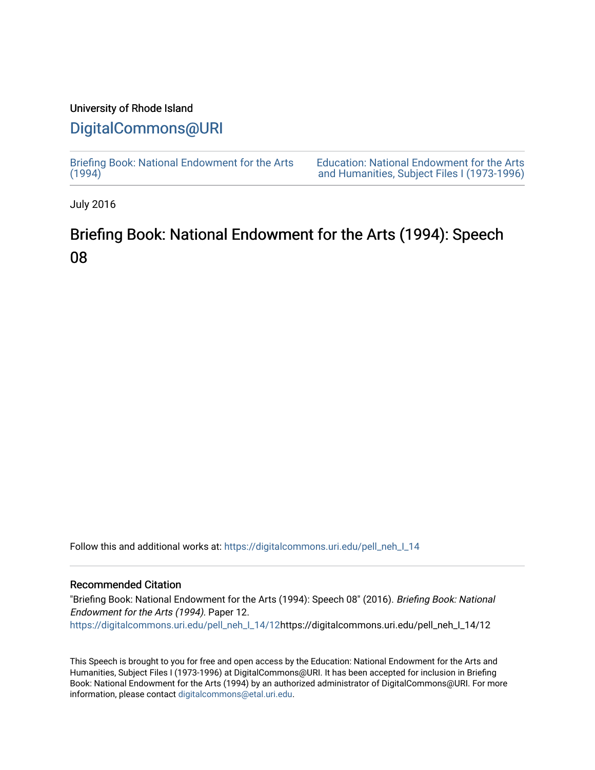### University of Rhode Island

## [DigitalCommons@URI](https://digitalcommons.uri.edu/)

[Briefing Book: National Endowment for the Arts](https://digitalcommons.uri.edu/pell_neh_I_14)  $(1994)$ 

[Education: National Endowment for the Arts](https://digitalcommons.uri.edu/pell_neh_I)  [and Humanities, Subject Files I \(1973-1996\)](https://digitalcommons.uri.edu/pell_neh_I) 

July 2016

# Briefing Book: National Endowment for the Arts (1994): Speech 08

Follow this and additional works at: [https://digitalcommons.uri.edu/pell\\_neh\\_I\\_14](https://digitalcommons.uri.edu/pell_neh_I_14?utm_source=digitalcommons.uri.edu%2Fpell_neh_I_14%2F12&utm_medium=PDF&utm_campaign=PDFCoverPages) 

### Recommended Citation

"Briefing Book: National Endowment for the Arts (1994): Speech 08" (2016). Briefing Book: National Endowment for the Arts (1994). Paper 12. [https://digitalcommons.uri.edu/pell\\_neh\\_I\\_14/12h](https://digitalcommons.uri.edu/pell_neh_I_14/12?utm_source=digitalcommons.uri.edu%2Fpell_neh_I_14%2F12&utm_medium=PDF&utm_campaign=PDFCoverPages)ttps://digitalcommons.uri.edu/pell\_neh\_I\_14/12

This Speech is brought to you for free and open access by the Education: National Endowment for the Arts and Humanities, Subject Files I (1973-1996) at DigitalCommons@URI. It has been accepted for inclusion in Briefing Book: National Endowment for the Arts (1994) by an authorized administrator of DigitalCommons@URI. For more information, please contact [digitalcommons@etal.uri.edu.](mailto:digitalcommons@etal.uri.edu)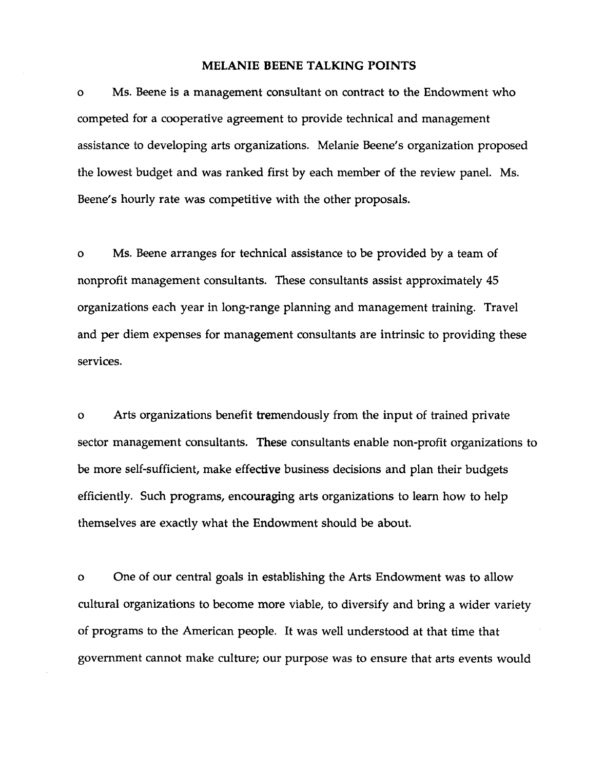#### MELANIE BEENE TALKING POINTS

o Ms. Beene is a management consultant on contract to the Endowment who competed for a cooperative agreement to provide technical and management assistance to developing arts organizations. Melanie Beene's organization proposed the lowest budget and was ranked first by each member of the review panel. Ms. Beene's hourly rate was competitive with the other proposals.

o Ms. Beene arranges for technical assistance to be provided by a team of nonprofit management consultants. These consultants assist approximately 45 organizations each year in long-range planning and management training. Travel and per diem expenses for management consultants are intrinsic to providing these services.

o Arts organizations benefit tremendously from the input of trained private sector management consultants. These consultants enable non-profit organizations to be more self-sufficient, make effective business decisions and plan their budgets efficiently. Such programs, encouraging arts organizations to learn how to help themselves are exactly what the Endowment should be about.

o One of our central goals in establishing the Arts Endowment was to allow cultural organizations to become more viable, to diversify and bring a wider variety of programs to the American people. It was well understood at that time that government cannot make culture; our purpose was to ensure that arts events would